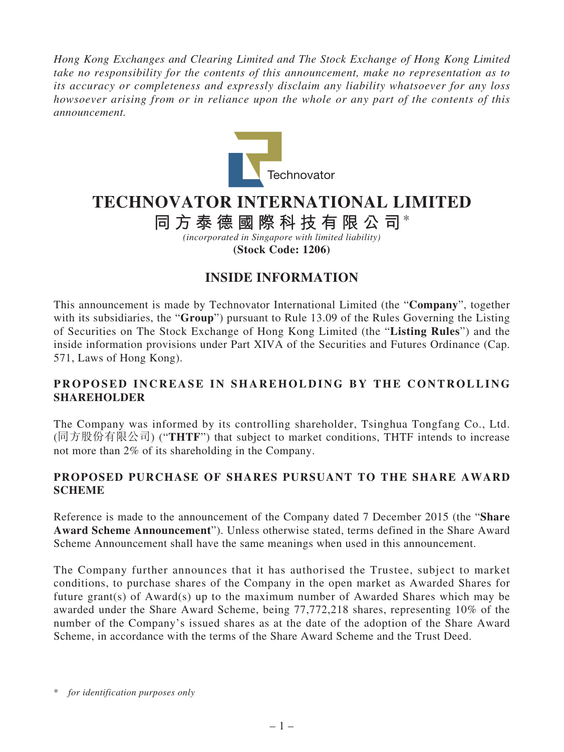*Hong Kong Exchanges and Clearing Limited and The Stock Exchange of Hong Kong Limited take no responsibility for the contents of this announcement, make no representation as to its accuracy or completeness and expressly disclaim any liability whatsoever for any loss howsoever arising from or in reliance upon the whole or any part of the contents of this announcement.*



## **TECHNOVATOR INTERNATIONAL LIMITED**

**同方泰德國際科技有限公司**\*

*(incorporated in Singapore with limited liability)* **(Stock Code: 1206)**

## **INSIDE INFORMATION**

This announcement is made by Technovator International Limited (the "**Company**", together with its subsidiaries, the "**Group**") pursuant to Rule 13.09 of the Rules Governing the Listing of Securities on The Stock Exchange of Hong Kong Limited (the "**Listing Rules**") and the inside information provisions under Part XIVA of the Securities and Futures Ordinance (Cap. 571, Laws of Hong Kong).

## **PROPOSED INCREASE IN SHAREHOLDING BY THE CONTROLLING SHAREHOLDER**

The Company was informed by its controlling shareholder, Tsinghua Tongfang Co., Ltd. (同方股份有限公司) ("**THTF**") that subject to market conditions, THTF intends to increase not more than 2% of its shareholding in the Company.

## **PROPOSED PURCHASE OF SHARES PURSUANT TO THE SHARE AWARD SCHEME**

Reference is made to the announcement of the Company dated 7 December 2015 (the "**Share Award Scheme Announcement**"). Unless otherwise stated, terms defined in the Share Award Scheme Announcement shall have the same meanings when used in this announcement.

The Company further announces that it has authorised the Trustee, subject to market conditions, to purchase shares of the Company in the open market as Awarded Shares for future grant(s) of Award(s) up to the maximum number of Awarded Shares which may be awarded under the Share Award Scheme, being 77,772,218 shares, representing 10% of the number of the Company's issued shares as at the date of the adoption of the Share Award Scheme, in accordance with the terms of the Share Award Scheme and the Trust Deed.

<sup>\*</sup> *for identification purposes only*